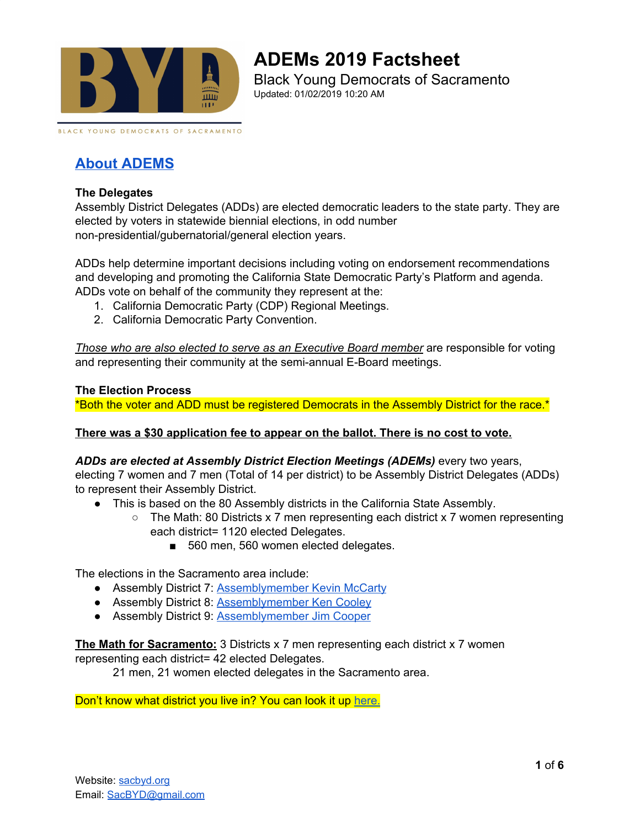

# **ADEMs 2019 Factsheet**

Black Young Democrats of Sacramento Updated: 01/02/2019 10:20 AM

BLACK YOUNG DEMOCRATS OF SACRAMENTO

# **About [ADEMS](https://www.cadem.org/our-party/adem)**

### **The Delegates**

Assembly District Delegates (ADDs) are elected democratic leaders to the state party. They are elected by voters in statewide biennial elections, in odd number non-presidential/gubernatorial/general election years.

ADDs help determine important decisions including voting on endorsement recommendations and developing and promoting the California State Democratic Party's Platform and agenda. ADDs vote on behalf of the community they represent at the:

- 1. California Democratic Party (CDP) Regional Meetings.
- 2. California Democratic Party Convention.

*Those who are also elected to serve as an Executive Board member* are responsible for voting and representing their community at the semi-annual E-Board meetings.

### **The Election Process**

\*Both the voter and ADD must be registered Democrats in the Assembly District for the race.\*

### **There was a \$30 application fee to appear on the ballot. There is no cost to vote.**

### *ADDs are elected at Assembly District Election Meetings (ADEMs)* every two years,

electing 7 women and 7 men (Total of 14 per district) to be Assembly District Delegates (ADDs) to represent their Assembly District.

- This is based on the 80 Assembly districts in the California State Assembly.
	- The Math: 80 Districts x 7 men representing each district x 7 women representing each district= 1120 elected Delegates.
		- 560 men, 560 women elected delegates.

The elections in the Sacramento area include:

- Assembly District 7: [Assemblymember](https://a07.asmdc.org/) Kevin McCarty
- Assembly District 8: [Assemblymember](https://a08.asmdc.org/) Ken Cooley
- Assembly District 9: [Assemblymember](https://a09.asmdc.org/) Jim Cooper

**The Math for Sacramento:** 3 Districts x 7 men representing each district x 7 women representing each district= 42 elected Delegates.

21 men, 21 women elected delegates in the Sacramento area.

Don't know what district you live in? You can look it up [here.](http://findyourrep.legislature.ca.gov/)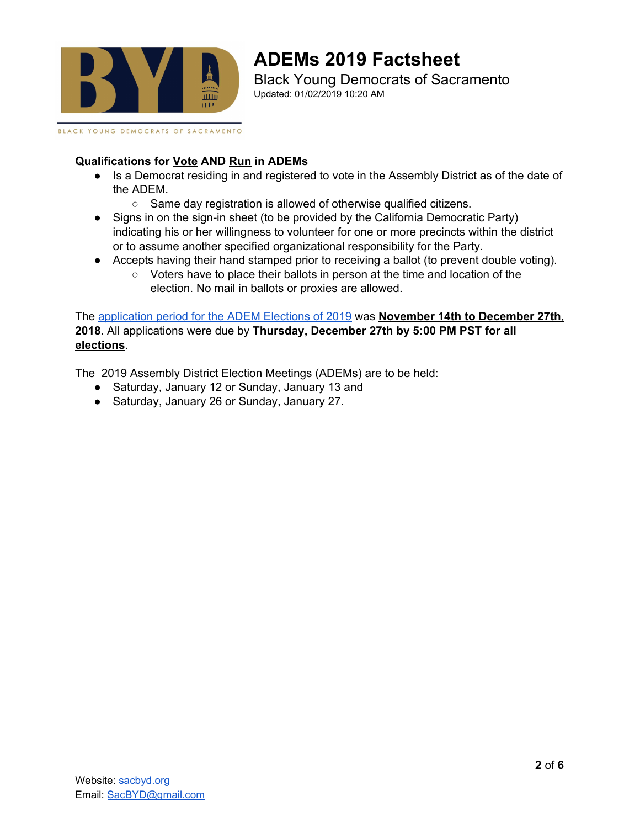

BLACK YOUNG DEMOCRATS OF SACRAMENTO

# **ADEMs 2019 Factsheet** Black Young Democrats of Sacramento

Updated: 01/02/2019 10:20 AM

### **Qualifications for Vote AND Run in ADEMs**

- Is a Democrat residing in and registered to vote in the Assembly District as of the date of the ADEM.
	- Same day registration is allowed of otherwise qualified citizens.
- Signs in on the sign-in sheet (to be provided by the California Democratic Party) indicating his or her willingness to volunteer for one or more precincts within the district or to assume another specified organizational responsibility for the Party.
- Accepts having their hand stamped prior to receiving a ballot (to prevent double voting).
	- Voters have to place their ballots in person at the time and location of the election. No mail in ballots or proxies are allowed.

The [application](https://fs3.formsite.com/CADEM2011/form237/index.html) period for the ADEM Elections of 2019 was **November 14th to December 27th, 2018**. All applications were due by **Thursday, December 27th by 5:00 PM PST for all elections**.

The 2019 Assembly District Election Meetings (ADEMs) are to be held:

- Saturday, January 12 or Sunday, January 13 and
- Saturday, January 26 or Sunday, January 27.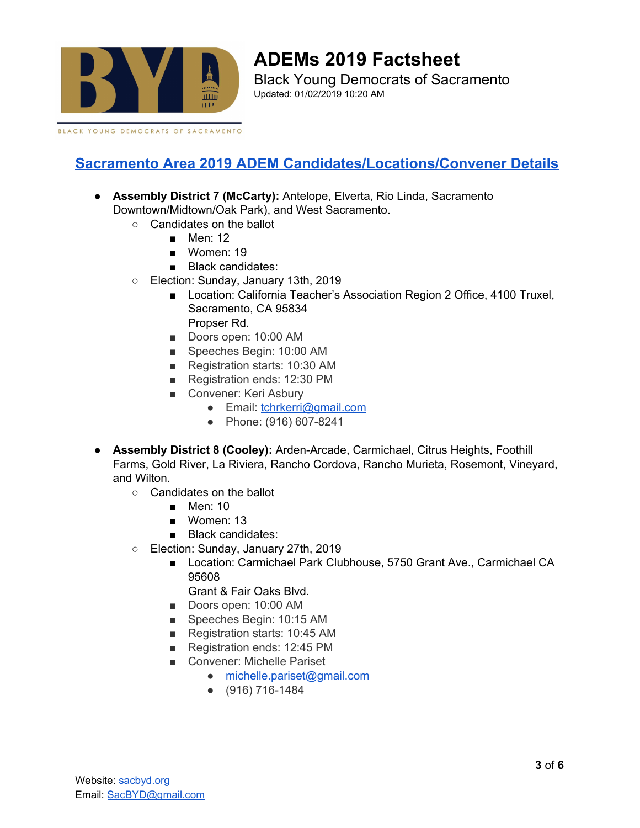

# **ADEMs 2019 Factsheet**

Black Young Democrats of Sacramento Updated: 01/02/2019 10:20 AM

BLACK YOUNG DEMOCRATS OF SACRAMENTO

## **Sacramento Area 2019 ADEM [Candidates/Locations/Convener](https://www.cadem.org/our-party/adem/elections) Details**

- **Assembly District 7 (McCarty):** Antelope, Elverta, Rio Linda, Sacramento Downtown/Midtown/Oak Park), and West Sacramento.
	- Candidates on the ballot
		- $M$ en: 12
		- Women: 19
		- Black candidates:
	- Election: Sunday, January 13th, 2019
		- Location: California Teacher's Association Region 2 Office, 4100 Truxel, Sacramento, CA 95834 Propser Rd.
		- Doors open: 10:00 AM
		- Speeches Begin: 10:00 AM
		- Registration starts: 10:30 AM
		- Registration ends: 12:30 PM
		- Convener: Keri Asbury
			- Email: [tchrkerri@gmail.com](mailto:tchrkerri@gmail.com)
			- Phone: (916) 607-8241
- **Assembly District 8 (Cooley):** Arden-Arcade, Carmichael, Citrus Heights, Foothill Farms, Gold River, La Riviera, Rancho Cordova, Rancho Murieta, Rosemont, Vineyard, and Wilton.
	- Candidates on the ballot
		- Men: 10
		- Women: 13
		- Black candidates:
	- Election: Sunday, January 27th, 2019
		- Location: Carmichael Park Clubhouse, 5750 Grant Ave., Carmichael CA 95608
			- Grant & Fair Oaks Blvd.
		- Doors open: 10:00 AM
		- Speeches Begin: 10:15 AM
		- Registration starts: 10:45 AM
		- Registration ends: 12:45 PM
		- Convener: Michelle Pariset
			- [michelle.pariset@gmail.com](mailto:michelle.pariset@gmail.com)
			- (916) 716-1484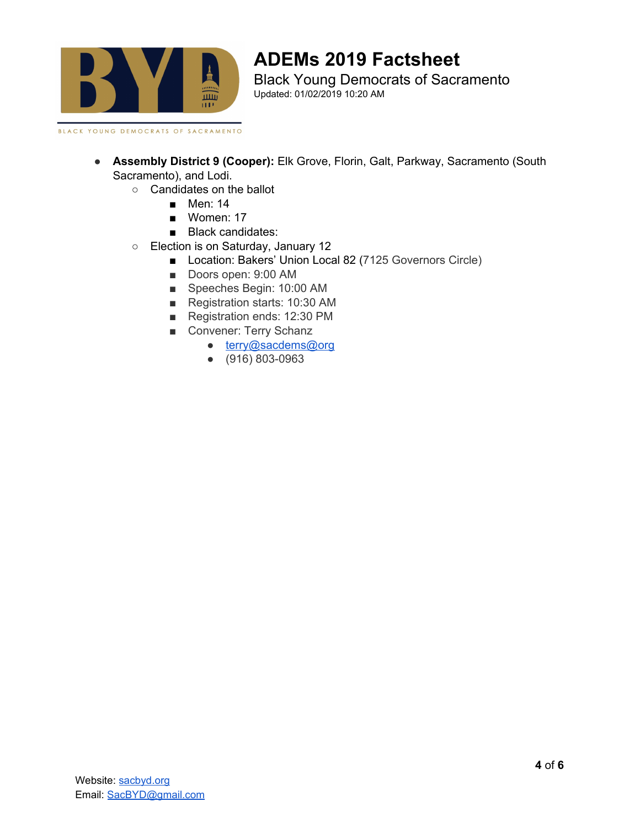

# **ADEMs 2019 Factsheet**

Black Young Democrats of Sacramento Updated: 01/02/2019 10:20 AM

BLACK YOUNG DEMOCRATS OF SACRAMENTO

- **Assembly District 9 (Cooper):** Elk Grove, Florin, Galt, Parkway, Sacramento (South Sacramento), and Lodi.
	- Candidates on the ballot
		- Men: 14
		- Women: 17
		- Black candidates:
	- Election is on Saturday, January 12
		- Location: Bakers' Union Local 82 (7125 Governors Circle)
		- Doors open: 9:00 AM
		- Speeches Begin: 10:00 AM
		- Registration starts: 10:30 AM
		- Registration ends: 12:30 PM
		- Convener: Terry Schanz
			- [terry@sacdems@org](http://terry%40sacdems@org/)
			- (916) 803-0963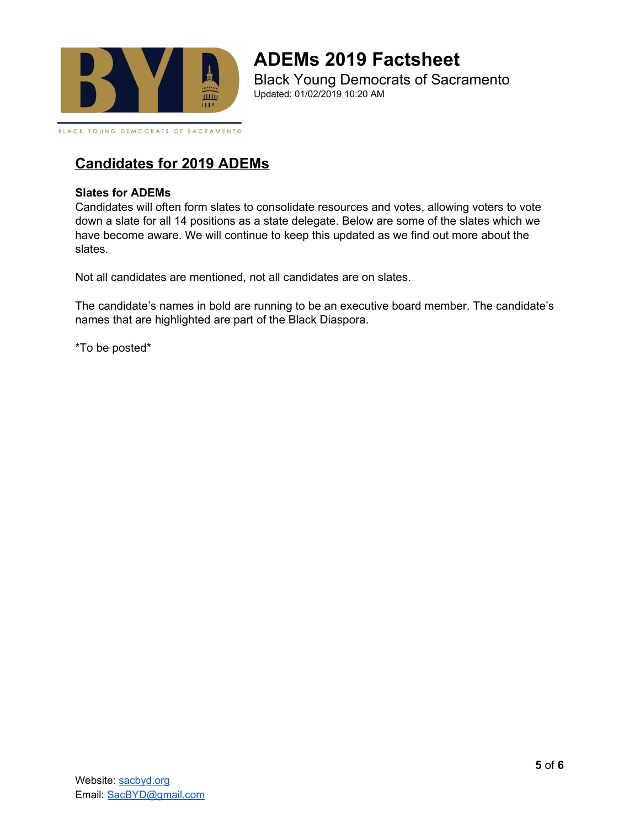

### **ADEMs 2019 Factsheet** Black Young Democrats of Sacramento Updated: 01/02/2019 10:20 AM

BLACK YOUNG DEMOCRATS OF SACRAMENTO

### **Candidates for 2019 ADEMs**

### **Slates for ADEMs**

Candidates will often form slates to consolidate resources and votes, allowing voters to vote down a slate for all 14 positions as a state delegate. Below are some of the slates which we have become aware. We will continue to keep this updated as we find out more about the slates.

Not all candidates are mentioned, not all candidates are on slates.

The candidate's names in bold are running to be an executive board member. The candidate's names that are highlighted are part of the Black Diaspora.

\*To be posted\*